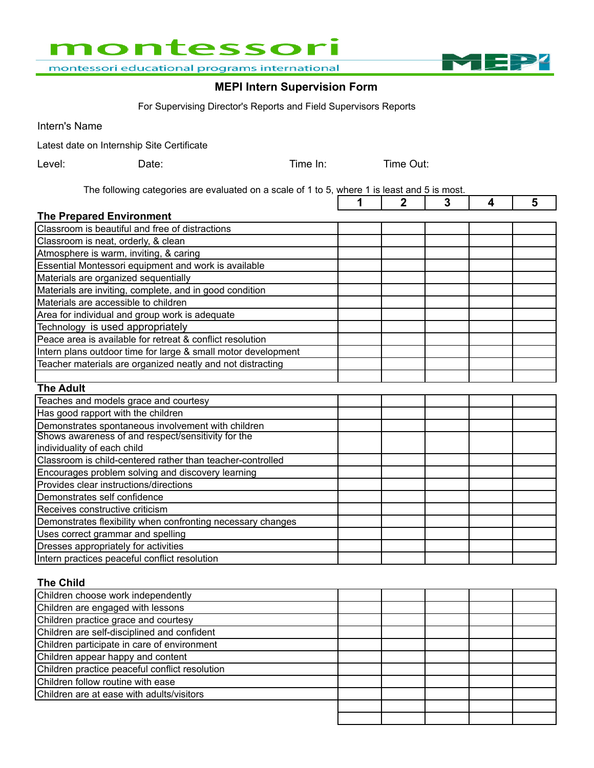

montessori educational programs international

### **MEPI Intern Supervision Form**

M

 $\overline{\phantom{0}}$ 

For Supervising Director's Reports and Field Supervisors Reports

Intern's Name

Latest date on Internship Site Certificate

| Level: | Date: | Time In: | Time Out: |
|--------|-------|----------|-----------|
|        |       |          |           |

The following categories are evaluated on a scale of 1 to 5, where 1 is least and 5 is most.

|                                                               | 1 | 2 | 3 | 4 | 5 |
|---------------------------------------------------------------|---|---|---|---|---|
| <b>The Prepared Environment</b>                               |   |   |   |   |   |
| Classroom is beautiful and free of distractions               |   |   |   |   |   |
| Classroom is neat, orderly, & clean                           |   |   |   |   |   |
| Atmosphere is warm, inviting, & caring                        |   |   |   |   |   |
| Essential Montessori equipment and work is available          |   |   |   |   |   |
| Materials are organized sequentially                          |   |   |   |   |   |
| Materials are inviting, complete, and in good condition       |   |   |   |   |   |
| Materials are accessible to children                          |   |   |   |   |   |
| Area for individual and group work is adequate                |   |   |   |   |   |
| Technology is used appropriately                              |   |   |   |   |   |
| Peace area is available for retreat & conflict resolution     |   |   |   |   |   |
| Intern plans outdoor time for large & small motor development |   |   |   |   |   |
| Teacher materials are organized neatly and not distracting    |   |   |   |   |   |
|                                                               |   |   |   |   |   |
| <b>The Adult</b>                                              |   |   |   |   |   |
| Teaches and models grace and courtesy                         |   |   |   |   |   |
| Has good rapport with the children                            |   |   |   |   |   |
| Demonstrates spontaneous involvement with children            |   |   |   |   |   |
| Shows awareness of and respect/sensitivity for the            |   |   |   |   |   |
| individuality of each child                                   |   |   |   |   |   |
| Classroom is child-centered rather than teacher-controlled    |   |   |   |   |   |
| Encourages problem solving and discovery learning             |   |   |   |   |   |
| Provides clear instructions/directions                        |   |   |   |   |   |
| Demonstrates self confidence                                  |   |   |   |   |   |
| Receives constructive criticism                               |   |   |   |   |   |
| Demonstrates flexibility when confronting necessary changes   |   |   |   |   |   |
| Uses correct grammar and spelling                             |   |   |   |   |   |
| Dresses appropriately for activities                          |   |   |   |   |   |
| Intern practices peaceful conflict resolution                 |   |   |   |   |   |

**The Child**

| Children choose work independently             |  |  |  |
|------------------------------------------------|--|--|--|
| Children are engaged with lessons              |  |  |  |
| Children practice grace and courtesy           |  |  |  |
| Children are self-disciplined and confident    |  |  |  |
| Children participate in care of environment    |  |  |  |
| Children appear happy and content              |  |  |  |
| Children practice peaceful conflict resolution |  |  |  |
| Children follow routine with ease              |  |  |  |
| Children are at ease with adults/visitors      |  |  |  |
|                                                |  |  |  |
|                                                |  |  |  |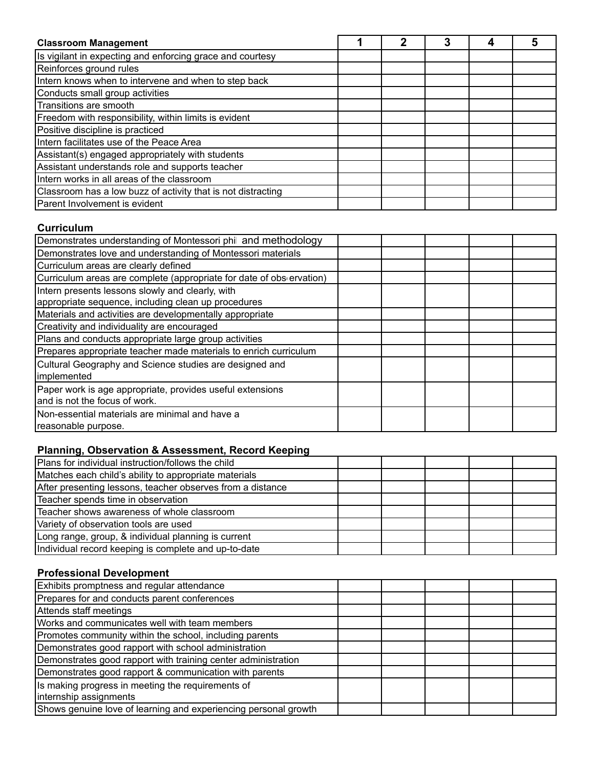| <b>Classroom Management</b>                                  |  |  |  |
|--------------------------------------------------------------|--|--|--|
| Is vigilant in expecting and enforcing grace and courtesy    |  |  |  |
| Reinforces ground rules                                      |  |  |  |
| Intern knows when to intervene and when to step back         |  |  |  |
| Conducts small group activities                              |  |  |  |
| Transitions are smooth                                       |  |  |  |
| Freedom with responsibility, within limits is evident        |  |  |  |
| Positive discipline is practiced                             |  |  |  |
| Intern facilitates use of the Peace Area                     |  |  |  |
| Assistant(s) engaged appropriately with students             |  |  |  |
| Assistant understands role and supports teacher              |  |  |  |
| Intern works in all areas of the classroom                   |  |  |  |
| Classroom has a low buzz of activity that is not distracting |  |  |  |
| Parent Involvement is evident                                |  |  |  |

#### **Curriculum**

| Demonstrates understanding of Montessori phil and methodology                              |  |  |
|--------------------------------------------------------------------------------------------|--|--|
| Demonstrates love and understanding of Montessori materials                                |  |  |
| Curriculum areas are clearly defined                                                       |  |  |
| Curriculum areas are complete (appropriate for date of observation)                        |  |  |
| Intern presents lessons slowly and clearly, with                                           |  |  |
| appropriate sequence, including clean up procedures                                        |  |  |
| Materials and activities are developmentally appropriate                                   |  |  |
| Creativity and individuality are encouraged                                                |  |  |
| Plans and conducts appropriate large group activities                                      |  |  |
| Prepares appropriate teacher made materials to enrich curriculum                           |  |  |
| Cultural Geography and Science studies are designed and<br>implemented                     |  |  |
| Paper work is age appropriate, provides useful extensions<br>and is not the focus of work. |  |  |
| Non-essential materials are minimal and have a<br>reasonable purpose.                      |  |  |

## **Planning, Observation & Assessment, Record Keeping**

| Plans for individual instruction/follows the child         |  |  |  |
|------------------------------------------------------------|--|--|--|
| Matches each child's ability to appropriate materials      |  |  |  |
| After presenting lessons, teacher observes from a distance |  |  |  |
| Teacher spends time in observation                         |  |  |  |
| Teacher shows awareness of whole classroom                 |  |  |  |
| Variety of observation tools are used                      |  |  |  |
| Long range, group, & individual planning is current        |  |  |  |
| Individual record keeping is complete and up-to-date       |  |  |  |

#### **Professional Development**

| Exhibits promptness and regular attendance                      |  |  |
|-----------------------------------------------------------------|--|--|
| Prepares for and conducts parent conferences                    |  |  |
| Attends staff meetings                                          |  |  |
| Works and communicates well with team members                   |  |  |
| Promotes community within the school, including parents         |  |  |
| Demonstrates good rapport with school administration            |  |  |
| Demonstrates good rapport with training center administration   |  |  |
| Demonstrates good rapport & communication with parents          |  |  |
| Is making progress in meeting the requirements of               |  |  |
| internship assignments                                          |  |  |
| Shows genuine love of learning and experiencing personal growth |  |  |